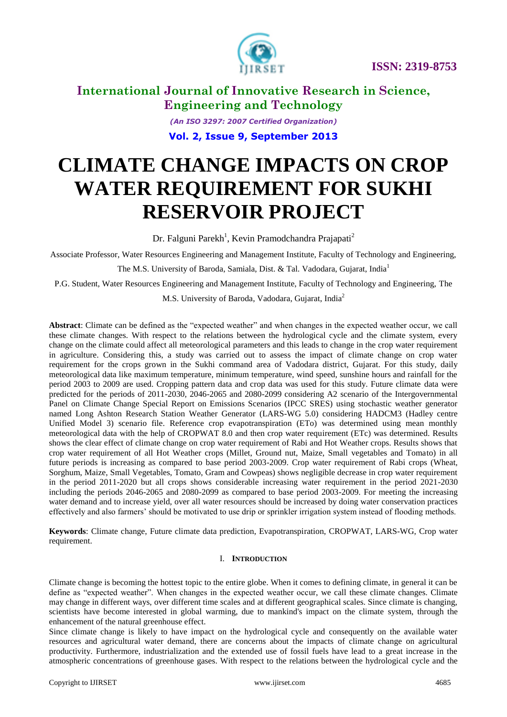

*(An ISO 3297: 2007 Certified Organization)* **Vol. 2, Issue 9, September 2013**

# **CLIMATE CHANGE IMPACTS ON CROP WATER REQUIREMENT FOR SUKHI RESERVOIR PROJECT**

Dr. Falguni Parekh<sup>1</sup>, Kevin Pramodchandra Prajapati<sup>2</sup>

Associate Professor, Water Resources Engineering and Management Institute, Faculty of Technology and Engineering,

The M.S. University of Baroda, Samiala, Dist. & Tal. Vadodara, Gujarat, India<sup>1</sup>

P.G. Student, Water Resources Engineering and Management Institute, Faculty of Technology and Engineering, The

M.S. University of Baroda, Vadodara, Gujarat, India<sup>2</sup>

Abstract: Climate can be defined as the "expected weather" and when changes in the expected weather occur, we call these climate changes. With respect to the relations between the hydrological cycle and the climate system, every change on the climate could affect all meteorological parameters and this leads to change in the crop water requirement in agriculture. Considering this, a study was carried out to assess the impact of climate change on crop water requirement for the crops grown in the Sukhi command area of Vadodara district, Gujarat. For this study, daily meteorological data like maximum temperature, minimum temperature, wind speed, sunshine hours and rainfall for the period 2003 to 2009 are used. Cropping pattern data and crop data was used for this study. Future climate data were predicted for the periods of 2011-2030, 2046-2065 and 2080-2099 considering A2 scenario of the Intergovernmental Panel on Climate Change Special Report on Emissions Scenarios (IPCC SRES) using stochastic weather generator named Long Ashton Research Station Weather Generator (LARS-WG 5.0) considering HADCM3 (Hadley centre Unified Model 3) scenario file. Reference crop evapotranspiration (ETo) was determined using mean monthly meteorological data with the help of CROPWAT 8.0 and then crop water requirement (ETc) was determined. Results shows the clear effect of climate change on crop water requirement of Rabi and Hot Weather crops. Results shows that crop water requirement of all Hot Weather crops (Millet, Ground nut, Maize, Small vegetables and Tomato) in all future periods is increasing as compared to base period 2003-2009. Crop water requirement of Rabi crops (Wheat, Sorghum, Maize, Small Vegetables, Tomato, Gram and Cowpeas) shows negligible decrease in crop water requirement in the period 2011-2020 but all crops shows considerable increasing water requirement in the period 2021-2030 including the periods 2046-2065 and 2080-2099 as compared to base period 2003-2009. For meeting the increasing water demand and to increase yield, over all water resources should be increased by doing water conservation practices effectively and also farmers' should be motivated to use drip or sprinkler irrigation system instead of flooding methods.

**Keywords**: Climate change, Future climate data prediction, Evapotranspiration, CROPWAT, LARS-WG, Crop water requirement.

## I. **INTRODUCTION**

Climate change is becoming the hottest topic to the entire globe. When it comes to defining climate, in general it can be define as "expected weather". When changes in the expected weather occur, we call these climate changes. Climate may change in different ways, over different time scales and at different geographical scales. Since climate is changing, scientists have become interested in global warming, due to mankind's impact on the climate system, through the enhancement of the natural greenhouse effect.

Since climate change is likely to have impact on the hydrological cycle and consequently on the available water resources and agricultural water demand, there are concerns about the impacts of climate change on agricultural productivity. Furthermore, industrialization and the extended use of fossil fuels have lead to a great increase in the atmospheric concentrations of greenhouse gases. With respect to the relations between the hydrological cycle and the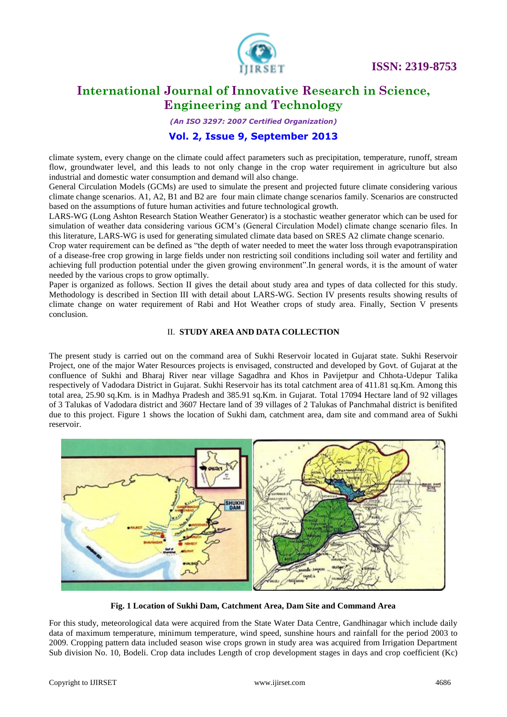

# **International Journal of Innovative Research in Science, Engineering and Technology**

*(An ISO 3297: 2007 Certified Organization)*

# **Vol. 2, Issue 9, September 2013**

climate system, every change on the climate could affect parameters such as precipitation, temperature, runoff, stream flow, groundwater level, and this leads to not only change in the crop water requirement in agriculture but also industrial and domestic water consumption and demand will also change.

General Circulation Models (GCMs) are used to simulate the present and projected future climate considering various climate change scenarios. A1, A2, B1 and B2 are four main climate change scenarios family. Scenarios are constructed based on the assumptions of future human activities and future technological growth.

LARS-WG (Long Ashton Research Station Weather Generator) is a stochastic weather generator which can be used for simulation of weather data considering various GCM's (General Circulation Model) climate change scenario files. In this literature, LARS-WG is used for generating simulated climate data based on SRES A2 climate change scenario.

Crop water requirement can be defined as "the depth of water needed to meet the water loss through evapotranspiration of a disease-free crop growing in large fields under non restricting soil conditions including soil water and fertility and achieving full production potential under the given growing environment".In general words, it is the amount of water needed by the various crops to grow optimally.

Paper is organized as follows. Section II gives the detail about study area and types of data collected for this study. Methodology is described in Section III with detail about LARS-WG. Section IV presents results showing results of climate change on water requirement of Rabi and Hot Weather crops of study area. Finally, Section V presents conclusion.

## II. **STUDY AREA AND DATA COLLECTION**

The present study is carried out on the command area of Sukhi Reservoir located in Gujarat state. Sukhi Reservoir Project, one of the major Water Resources projects is envisaged, constructed and developed by Govt. of Gujarat at the confluence of Sukhi and Bharaj River near village Sagadhra and Khos in Pavijetpur and Chhota-Udepur Talika respectively of Vadodara District in Gujarat. Sukhi Reservoir has its total catchment area of 411.81 sq.Km. Among this total area, 25.90 sq.Km. is in Madhya Pradesh and 385.91 sq.Km. in Gujarat. Total 17094 Hectare land of 92 villages of 3 Talukas of Vadodara district and 3607 Hectare land of 39 villages of 2 Talukas of Panchmahal district is benifited due to this project. Figure 1 shows the location of Sukhi dam, catchment area, dam site and command area of Sukhi reservoir.



**Fig. 1 Location of Sukhi Dam, Catchment Area, Dam Site and Command Area**

For this study, meteorological data were acquired from the State Water Data Centre, Gandhinagar which include daily data of maximum temperature, minimum temperature, wind speed, sunshine hours and rainfall for the period 2003 to 2009. Cropping pattern data included season wise crops grown in study area was acquired from Irrigation Department Sub division No. 10, Bodeli. Crop data includes Length of crop development stages in days and crop coefficient (Kc)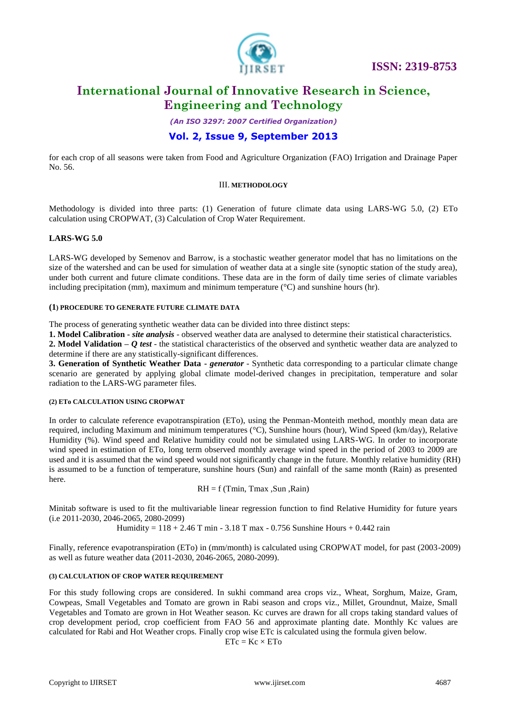

# **International Journal of Innovative Research in Science, Engineering and Technology**

*(An ISO 3297: 2007 Certified Organization)*

# **Vol. 2, Issue 9, September 2013**

for each crop of all seasons were taken from Food and Agriculture Organization (FAO) Irrigation and Drainage Paper No. 56.

#### III. **METHODOLOGY**

Methodology is divided into three parts: (1) Generation of future climate data using LARS-WG 5.0, (2) ETo calculation using CROPWAT, (3) Calculation of Crop Water Requirement.

## **LARS-WG 5.0**

LARS-WG developed by Semenov and Barrow, is a stochastic weather generator model that has no limitations on the size of the watershed and can be used for simulation of weather data at a single site (synoptic station of the study area), under both current and future climate conditions. These data are in the form of daily time series of climate variables including precipitation (mm), maximum and minimum temperature (°C) and sunshine hours (hr).

#### **(1) PROCEDURE TO GENERATE FUTURE CLIMATE DATA**

The process of generating synthetic weather data can be divided into three distinct steps:

**1. Model Calibration -** *site analysis* - observed weather data are analysed to determine their statistical characteristics.

**2. Model Validation –** *Q test* - the statistical characteristics of the observed and synthetic weather data are analyzed to determine if there are any statistically-significant differences.

**3. Generation of Synthetic Weather Data -** *generator* - Synthetic data corresponding to a particular climate change scenario are generated by applying global climate model-derived changes in precipitation, temperature and solar radiation to the LARS-WG parameter files.

#### **(2) ETo CALCULATION USING CROPWAT**

In order to calculate reference evapotranspiration (ETo), using the Penman-Monteith method, monthly mean data are required, including Maximum and minimum temperatures (°C), Sunshine hours (hour), Wind Speed (km/day), Relative Humidity (%). Wind speed and Relative humidity could not be simulated using LARS-WG. In order to incorporate wind speed in estimation of ETo, long term observed monthly average wind speed in the period of 2003 to 2009 are used and it is assumed that the wind speed would not significantly change in the future. Monthly relative humidity (RH) is assumed to be a function of temperature, sunshine hours (Sun) and rainfall of the same month (Rain) as presented here.

 $RH = f$  (Tmin, Tmax ,Sun ,Rain)

Minitab software is used to fit the multivariable linear regression function to find Relative Humidity for future years (i.e 2011-2030, 2046-2065, 2080-2099)

Humidity =  $118 + 2.46$  T min -  $3.18$  T max - 0.756 Sunshine Hours + 0.442 rain

Finally, reference evapotranspiration (ETo) in (mm/month) is calculated using CROPWAT model, for past (2003-2009) as well as future weather data (2011-2030, 2046-2065, 2080-2099).

#### **(3) CALCULATION OF CROP WATER REQUIREMENT**

For this study following crops are considered. In sukhi command area crops viz., Wheat, Sorghum, Maize, Gram, Cowpeas, Small Vegetables and Tomato are grown in Rabi season and crops viz., Millet, Groundnut, Maize, Small Vegetables and Tomato are grown in Hot Weather season. Kc curves are drawn for all crops taking standard values of crop development period, crop coefficient from FAO 56 and approximate planting date. Monthly Kc values are calculated for Rabi and Hot Weather crops. Finally crop wise ETc is calculated using the formula given below.

 $ETc = Kc \times ETo$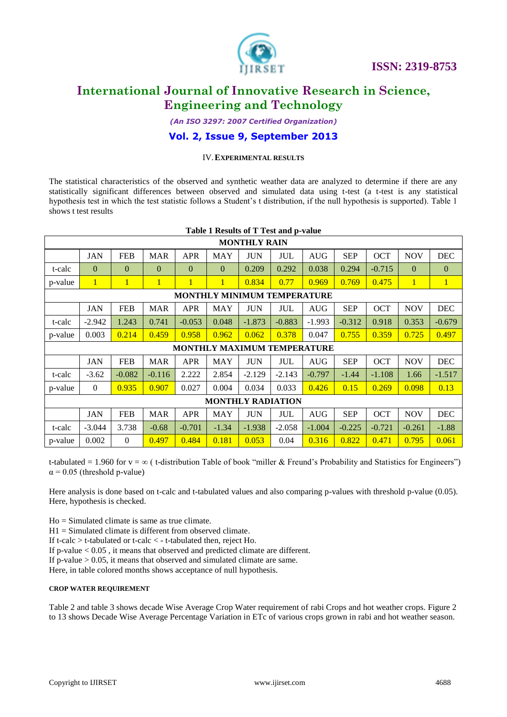

*(An ISO 3297: 2007 Certified Organization)*

## **Vol. 2, Issue 9, September 2013**

## IV.**EXPERIMENTAL RESULTS**

The statistical characteristics of the observed and synthetic weather data are analyzed to determine if there are any statistically significant differences between observed and simulated data using t-test (a t-test is any statistical hypothesis test in which the test statistic follows a Student's t distribution, if the null hypothesis is supported). Table 1 shows t test results

| Table 1 Results of T Test and p-value |              |                |              |                |              |            |            |            |            |            |              |              |
|---------------------------------------|--------------|----------------|--------------|----------------|--------------|------------|------------|------------|------------|------------|--------------|--------------|
| <b>MONTHLY RAIN</b>                   |              |                |              |                |              |            |            |            |            |            |              |              |
|                                       | <b>JAN</b>   | <b>FEB</b>     | <b>MAR</b>   | <b>APR</b>     | <b>MAY</b>   | <b>JUN</b> | <b>JUL</b> | <b>AUG</b> | <b>SEP</b> | <b>OCT</b> | <b>NOV</b>   | <b>DEC</b>   |
| t-calc                                | $\Omega$     | $\Omega$       | $\mathbf{0}$ | $\overline{0}$ | $\Omega$     | 0.209      | 0.292      | 0.038      | 0.294      | $-0.715$   | $\mathbf{0}$ | $\mathbf{0}$ |
| p-value                               | 1            | $\mathbf{1}$   | $\mathbf{1}$ | $\mathbf{1}$   | $\mathbf{1}$ | 0.834      | 0.77       | 0.969      | 0.769      | 0.475      | $\mathbf{1}$ | $\mathbf{1}$ |
| <b>MONTHLY MINIMUM TEMPERATURE</b>    |              |                |              |                |              |            |            |            |            |            |              |              |
|                                       | <b>JAN</b>   | <b>FEB</b>     | <b>MAR</b>   | <b>APR</b>     | <b>MAY</b>   | <b>JUN</b> | <b>JUL</b> | <b>AUG</b> | <b>SEP</b> | <b>OCT</b> | <b>NOV</b>   | DEC          |
| t-calc                                | $-2.942$     | 1.243          | 0.741        | $-0.053$       | 0.048        | $-1.873$   | $-0.883$   | $-1.993$   | $-0.312$   | 0.918      | 0.353        | $-0.679$     |
| p-value                               | 0.003        | 0.214          | 0.459        | 0.958          | 0.962        | 0.062      | 0.378      | 0.047      | 0.755      | 0.359      | 0.725        | 0.497        |
| <b>MONTHLY MAXIMUM TEMPERATURE</b>    |              |                |              |                |              |            |            |            |            |            |              |              |
|                                       | <b>JAN</b>   | <b>FEB</b>     | <b>MAR</b>   | <b>APR</b>     | <b>MAY</b>   | <b>JUN</b> | <b>JUL</b> | <b>AUG</b> | <b>SEP</b> | <b>OCT</b> | <b>NOV</b>   | <b>DEC</b>   |
| t-calc                                | $-3.62$      | $-0.082$       | $-0.116$     | 2.222          | 2.854        | $-2.129$   | $-2.143$   | $-0.797$   | $-1.44$    | $-1.108$   | 1.66         | $-1.517$     |
| p-value                               | $\mathbf{0}$ | 0.935          | 0.907        | 0.027          | 0.004        | 0.034      | 0.033      | 0.426      | 0.15       | 0.269      | 0.098        | 0.13         |
| <b>MONTHLY RADIATION</b>              |              |                |              |                |              |            |            |            |            |            |              |              |
|                                       | <b>JAN</b>   | <b>FEB</b>     | <b>MAR</b>   | <b>APR</b>     | <b>MAY</b>   | <b>JUN</b> | <b>JUL</b> | <b>AUG</b> | <b>SEP</b> | <b>OCT</b> | <b>NOV</b>   | <b>DEC</b>   |
| t-calc                                | $-3.044$     | 3.738          | $-0.68$      | $-0.701$       | $-1.34$      | $-1.938$   | $-2.058$   | $-1.004$   | $-0.225$   | $-0.721$   | $-0.261$     | $-1.88$      |
| p-value                               | 0.002        | $\overline{0}$ | 0.497        | 0.484          | 0.181        | 0.053      | 0.04       | 0.316      | 0.822      | 0.471      | 0.795        | 0.061        |

t-tabulated = 1.960 for  $y = \infty$  ( t-distribution Table of book "miller & Freund's Probability and Statistics for Engineers")  $\alpha$  = 0.05 (threshold p-value)

Here analysis is done based on t-calc and t-tabulated values and also comparing p-values with threshold p-value (0.05). Here, hypothesis is checked.

Ho = Simulated climate is same as true climate.

H1 = Simulated climate is different from observed climate.

If t-calc > t-tabulated or t-calc < - t-tabulated then, reject Ho.

If p-value < 0.05 , it means that observed and predicted climate are different.

If p-value  $> 0.05$ , it means that observed and simulated climate are same.

Here, in table colored months shows acceptance of null hypothesis.

#### **CROP WATER REQUIREMENT**

Table 2 and table 3 shows decade Wise Average Crop Water requirement of rabi Crops and hot weather crops. Figure 2 to 13 shows Decade Wise Average Percentage Variation in ETc of various crops grown in rabi and hot weather season.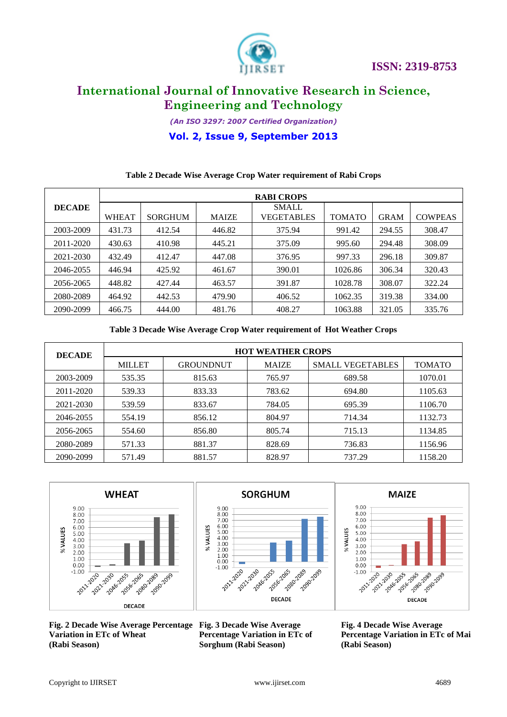

*(An ISO 3297: 2007 Certified Organization)*

**Vol. 2, Issue 9, September 2013**

## **Table 2 Decade Wise Average Crop Water requirement of Rabi Crops**

|               | <b>RABI CROPS</b> |                |              |                            |               |             |                |  |  |
|---------------|-------------------|----------------|--------------|----------------------------|---------------|-------------|----------------|--|--|
| <b>DECADE</b> | <b>WHEAT</b>      | <b>SORGHUM</b> | <b>MAIZE</b> | <b>SMALL</b><br>VEGETABLES | <b>TOMATO</b> | <b>GRAM</b> | <b>COWPEAS</b> |  |  |
| 2003-2009     | 431.73            | 412.54         | 446.82       | 375.94                     | 991.42        | 294.55      | 308.47         |  |  |
| 2011-2020     | 430.63            | 410.98         | 445.21       | 375.09                     | 995.60        | 294.48      | 308.09         |  |  |
| 2021-2030     | 432.49            | 412.47         | 447.08       | 376.95                     | 997.33        | 296.18      | 309.87         |  |  |
| 2046-2055     | 446.94            | 425.92         | 461.67       | 390.01                     | 1026.86       | 306.34      | 320.43         |  |  |
| 2056-2065     | 448.82            | 427.44         | 463.57       | 391.87                     | 1028.78       | 308.07      | 322.24         |  |  |
| 2080-2089     | 464.92            | 442.53         | 479.90       | 406.52                     | 1062.35       | 319.38      | 334.00         |  |  |
| 2090-2099     | 466.75            | 444.00         | 481.76       | 408.27                     | 1063.88       | 321.05      | 335.76         |  |  |

**Table 3 Decade Wise Average Crop Water requirement of Hot Weather Crops**

| <b>DECADE</b> | <b>HOT WEATHER CROPS</b> |                  |              |                         |               |  |  |  |  |
|---------------|--------------------------|------------------|--------------|-------------------------|---------------|--|--|--|--|
|               | <b>MILLET</b>            | <b>GROUNDNUT</b> | <b>MAIZE</b> | <b>SMALL VEGETABLES</b> | <b>TOMATO</b> |  |  |  |  |
| 2003-2009     | 535.35                   | 815.63           | 765.97       | 689.58                  | 1070.01       |  |  |  |  |
| 2011-2020     | 539.33                   | 833.33           | 783.62       | 694.80                  | 1105.63       |  |  |  |  |
| 2021-2030     | 539.59                   | 833.67           | 784.05       | 695.39                  | 1106.70       |  |  |  |  |
| 2046-2055     | 554.19                   | 856.12           | 804.97       | 714.34                  | 1132.73       |  |  |  |  |
| 2056-2065     | 554.60                   | 856.80           | 805.74       | 715.13                  | 1134.85       |  |  |  |  |
| 2080-2089     | 571.33                   | 881.37           | 828.69       | 736.83                  | 1156.96       |  |  |  |  |
| 2090-2099     | 571.49                   | 881.57           | 828.97       | 737.29                  | 1158.20       |  |  |  |  |



**Fig. 2 Decade Wise Average Percentage Fig. 3 Decade Wise Average Variation in ETc of Wheat (Rabi Season)**





**Percentage Variation in ETc of Sorghum (Rabi Season)**

**Fig. 4 Decade Wise Average Percentage Variation in ETc of Mai (Rabi Season)**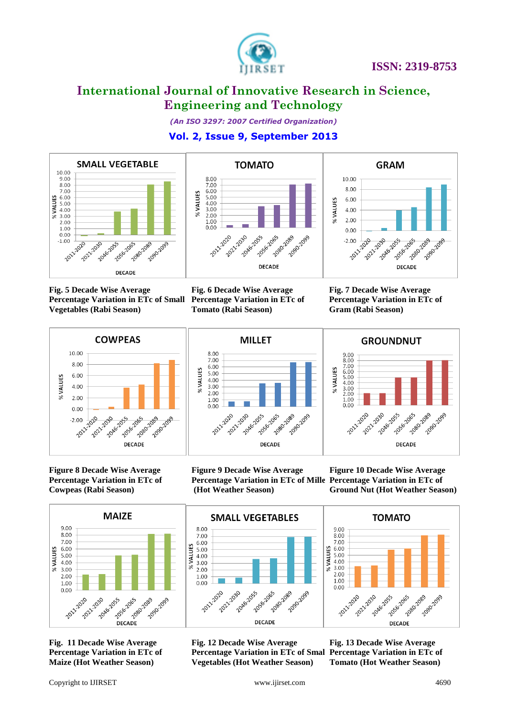

*(An ISO 3297: 2007 Certified Organization)*

**Vol. 2, Issue 9, September 2013**



**Fig. 5 Decade Wise Average Vegetables (Rabi Season)**





**Percentage Variation in ETc of Small Percentage Variation in ETc of** 

**Fig. 6 Decade Wise Average Tomato (Rabi Season)**

**Fig. 7 Decade Wise Average Percentage Variation in ETc of Gram (Rabi Season)**

**GROUNDNUT** 



**MILLET** 8.00 7.00 6.00<br>5.00 % VALUES 4.00 3.00 2.00  $1.00$  $0.00$ 2046-2055 2011-2020 2020 2030 10555 2065 2085-2089 2090-2099 **DECADE** 

 $\begin{array}{c} 9.00 \\ 8.00 \\ 7.00 \\ 6.00 \\ 5.00 \\ 4.00 \\ 3.00 \\ 2.00 \\ 1.00 \\ 0.00 \end{array}$ % VALUES 2055 - 2065 2011-2020 2021-1030 2046-2055 1080-2089 1089 1099 **DECADE** 

**Figure 8 Decade Wise Average Percentage Variation in ETc of Cowpeas (Rabi Season)**





**Figure 10 Decade Wise Average Ground Nut (Hot Weather Season)**



**Fig. 12 Decade Wise Average Percentage Variation in ETc of Small Vegetables (Hot Weather Season)**



**Fig. 13 Decade Wise Average Percentage Variation in ETc of Tomato (Hot Weather Season)**

**Percentage Variation in ETc of Maize (Hot Weather Season)**

**Fig. 11 Decade Wise Average** 

**DECADE** 

2089 2099

2021-1030 2016-2015-20

 $1.00$ 

 $0.00$ 

2011-2020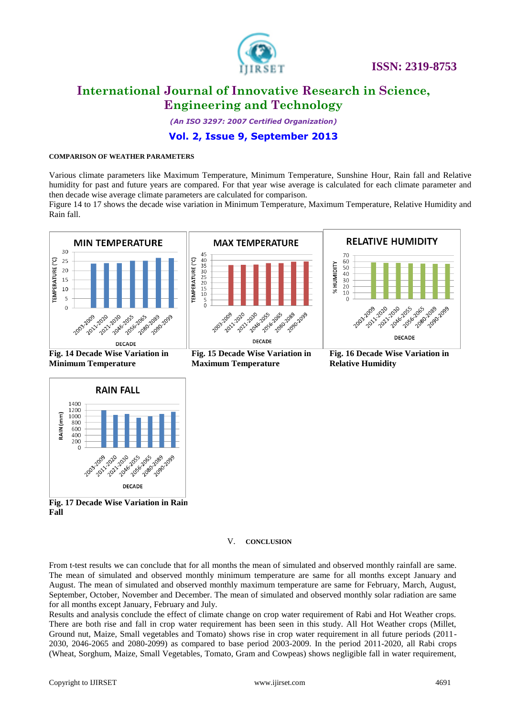

# **International Journal of Innovative Research in Science, Engineering and Technology**

*(An ISO 3297: 2007 Certified Organization)*

# **Vol. 2, Issue 9, September 2013**

## **COMPARISON OF WEATHER PARAMETERS**

Various climate parameters like Maximum Temperature, Minimum Temperature, Sunshine Hour, Rain fall and Relative humidity for past and future years are compared. For that year wise average is calculated for each climate parameter and then decade wise average climate parameters are calculated for comparison.

Figure 14 to 17 shows the decade wise variation in Minimum Temperature, Maximum Temperature, Relative Humidity and Rain fall.



**Fig. 14 Decade Wise Variation in Minimum Temperature**



**Fig. 15 Decade Wise Variation in Maximum Temperature**



**Fig. 16 Decade Wise Variation in Relative Humidity**



**Fig. 17 Decade Wise Variation in Rain Fall**

#### V. **CONCLUSION**

From t-test results we can conclude that for all months the mean of simulated and observed monthly rainfall are same. The mean of simulated and observed monthly minimum temperature are same for all months except January and August. The mean of simulated and observed monthly maximum temperature are same for February, March, August, September, October, November and December. The mean of simulated and observed monthly solar radiation are same for all months except January, February and July.

Results and analysis conclude the effect of climate change on crop water requirement of Rabi and Hot Weather crops. There are both rise and fall in crop water requirement has been seen in this study. All Hot Weather crops (Millet, Ground nut, Maize, Small vegetables and Tomato) shows rise in crop water requirement in all future periods (2011- 2030, 2046-2065 and 2080-2099) as compared to base period 2003-2009. In the period 2011-2020, all Rabi crops (Wheat, Sorghum, Maize, Small Vegetables, Tomato, Gram and Cowpeas) shows negligible fall in water requirement,